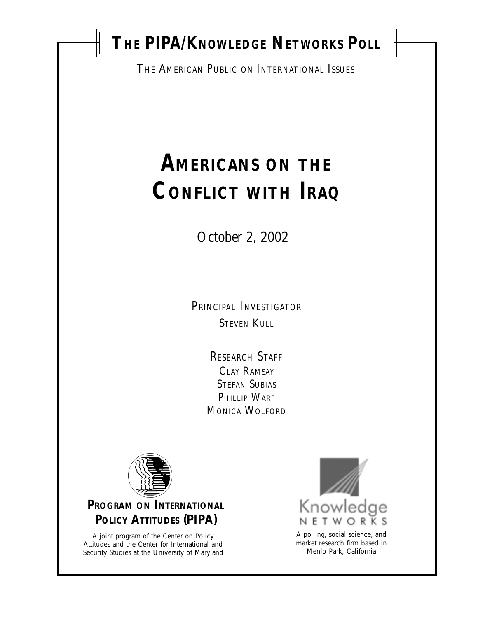## THE PIPA/KNOWLEDGE NETWORKS POLL

THE AMERICAN PUBLIC ON INTERNATIONAL ISSUES

# **AMERICANS ON THE CONFLICT WITH IRAQ**

October 2, 2002

*PRINCIPAL INVESTIGATOR* **STEVEN KULL** 

> *RESEARCH STAFF* CLAY RAMSAY STEFAN SUBIAS PHILLIP WARF MONICA WOLFORD



## **PROGRAM ON INTERNATIONAL POLICY ATTITUDES (PIPA)**

A joint program of the Center on Policy Attitudes and the Center for International and Security Studies at the University of Maryland



A polling, social science, and market research firm based in Menlo Park, California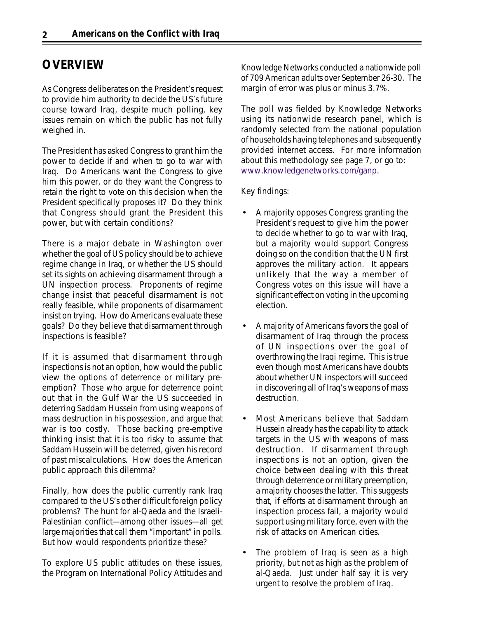## **OVERVIEW**

As Congress deliberates on the President's request to provide him authority to decide the US's future course toward Iraq, despite much polling, key issues remain on which the public has not fully weighed in.

The President has asked Congress to grant him the power to decide if and when to go to war with Iraq. Do Americans want the Congress to give him this power, or do they want the Congress to retain the right to vote on this decision when the President specifically proposes it? Do they think that Congress should grant the President this power, but with certain conditions?

There is a major debate in Washington over whether the goal of US policy should be to achieve regime change in Iraq, or whether the US should set its sights on achieving disarmament through a UN inspection process. Proponents of regime change insist that peaceful disarmament is not really feasible, while proponents of disarmament insist on trying. How do Americans evaluate these goals? Do they believe that disarmament through inspections is feasible?

If it is assumed that disarmament through inspections is not an option, how would the public view the options of deterrence or military preemption? Those who argue for deterrence point out that in the Gulf War the US succeeded in deterring Saddam Hussein from using weapons of mass destruction in his possession, and argue that war is too costly. Those backing pre-emptive thinking insist that it is too risky to assume that Saddam Hussein will be deterred, given his record of past miscalculations. How does the American public approach this dilemma?

Finally, how does the public currently rank Iraq compared to the US's other difficult foreign policy problems? The hunt for al-Qaeda and the Israeli-Palestinian conflict—among other issues—all get large majorities that call them "important" in polls. But how would respondents prioritize these?

To explore US public attitudes on these issues, the Program on International Policy Attitudes and Knowledge Networks conducted a nationwide poll of 709 American adults over September 26-30. The margin of error was plus or minus 3.7%.

The poll was fielded by Knowledge Networks using its nationwide research panel, which is randomly selected from the national population of households having telephones and subsequently provided internet access. For more information about this methodology see page 7, or go to: www.knowledgenetworks.com/ganp.

Key findings:

- A majority opposes Congress granting the President's request to give him the power to decide whether to go to war with Iraq, but a majority would support Congress doing so on the condition that the UN first approves the military action. It appears unlikely that the way a member of Congress votes on this issue will have a significant effect on voting in the upcoming election.
- A majority of Americans favors the goal of disarmament of Iraq through the process of UN inspections over the goal of overthrowing the Iraqi regime. This is true even though most Americans have doubts about whether UN inspectors will succeed in discovering all of Iraq's weapons of mass destruction.
- Most Americans believe that Saddam Hussein already has the capability to attack targets in the US with weapons of mass destruction. If disarmament through inspections is not an option, given the choice between dealing with this threat through deterrence or military preemption, a majority chooses the latter. This suggests that, if efforts at disarmament through an inspection process fail, a majority would support using military force, even with the risk of attacks on American cities.
- The problem of Iraq is seen as a high priority, but not as high as the problem of al-Qaeda. Just under half say it is very urgent to resolve the problem of Iraq.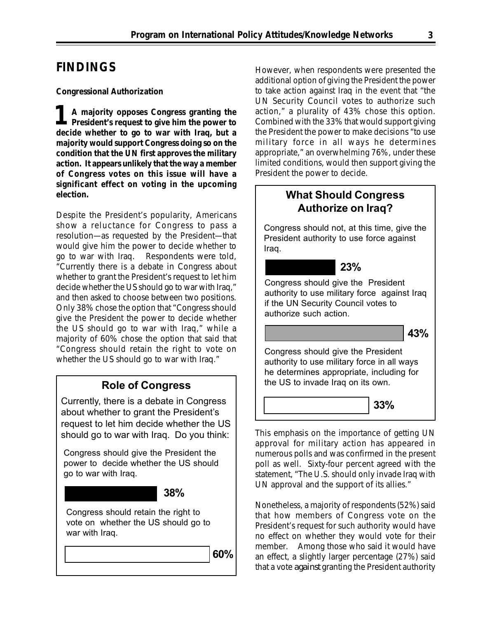## **FINDINGS**

#### *Congressional Authorization*

**1 A majority opposes Congress granting the President's request to give him the power to decide whether to go to war with Iraq, but a majority would support Congress doing so on the condition that the UN first approves the military action. It appears unlikely that the way a member of Congress votes on this issue will have a significant effect on voting in the upcoming election.**

Despite the President's popularity, Americans show a reluctance for Congress to pass a resolution—as requested by the President—that would give him the power to decide whether to go to war with Iraq. Respondents were told, "Currently there is a debate in Congress about whether to grant the President's request to let him decide whether the US should go to war with Iraq," and then asked to choose between two positions. Only 38% chose the option that "Congress should give the President the power to decide whether the US should go to war with Iraq," while a majority of 60% chose the option that said that "Congress should retain the right to vote on whether the US should go to war with Iraq."

#### Role of Congress

Currently, there is a debate in Congress about whether to grant the President's request to let him decide whether the US should go to war with Iraq. Do you think:

Congress should give the President the power to decide whether the US should go to war with Iraq.

#### 38%

Congress should retain the right to vote on whether the US should go to war with Iraq.

60%

However, when respondents were presented the additional option of giving the President the power to take action against Iraq in the event that "the UN Security Council votes to authorize such action," a plurality of 43% chose this option. Combined with the 33% that would support giving the President the power to make decisions "to use military force in all ways he determines appropriate," an overwhelming 76%, under these limited conditions, would then support giving the President the power to decide.

### What Should Congress Authorize on Iraq?

Congress should not, at this time, give the President authority to use force against Iraq.

#### 23%

Congress should give the President authority to use military force against Iraq if the UN Security Council votes to authorize such action.

43%

Congress should give the President authority to use military force in all ways he determines appropriate, including for the US to invade Iraq on its own.



This emphasis on the importance of getting UN approval for military action has appeared in numerous polls and was confirmed in the present poll as well. Sixty-four percent agreed with the statement, "The U.S. should only invade Iraq with UN approval and the support of its allies."

Nonetheless, a majority of respondents (52%) said that how members of Congress vote on the President's request for such authority would have no effect on whether they would vote for their member. Among those who said it would have an effect, a slightly larger percentage (27%) said that a vote *against* granting the President authority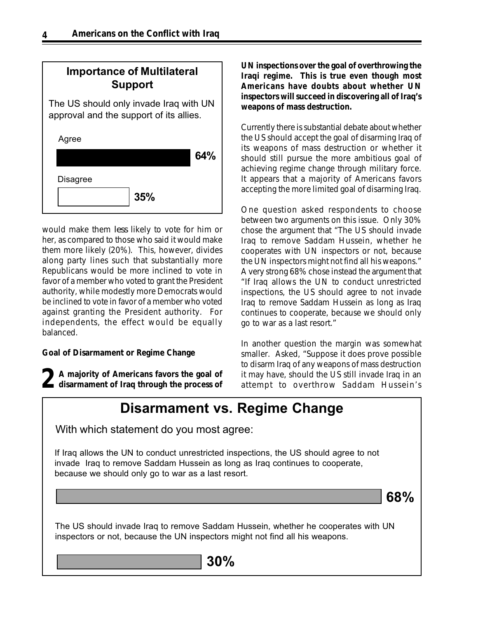## Importance of Multilateral Support

The US should only invade Iraq with UN approval and the support of its allies.

| Agree           |     |     |
|-----------------|-----|-----|
|                 |     | 64% |
| <b>Disagree</b> |     |     |
|                 | 35% |     |

would make them *less* likely to vote for him or her, as compared to those who said it would make them more likely (20%). This, however, divides along party lines such that substantially more Republicans would be more inclined to vote in favor of a member who voted to grant the President authority, while modestly more Democrats would be inclined to vote in favor of a member who voted against granting the President authority. For independents, the effect would be equally balanced.

#### *Goal of Disarmament or Regime Change*

**A majority of Americans favors the goal of 2disarmament of Iraq through the process of**

**UN inspections over the goal of overthrowing the Iraqi regime. This is true even though most Americans have doubts about whether UN inspectors will succeed in discovering all of Iraq's weapons of mass destruction.**

Currently there is substantial debate about whether the US should accept the goal of disarming Iraq of its weapons of mass destruction or whether it should still pursue the more ambitious goal of achieving regime change through military force. It appears that a majority of Americans favors accepting the more limited goal of disarming Iraq.

One question asked respondents to choose between two arguments on this issue. Only 30% chose the argument that "The US should invade Iraq to remove Saddam Hussein, whether he cooperates with UN inspectors or not, because the UN inspectors might not find all his weapons." A very strong 68% chose instead the argument that "If Iraq allows the UN to conduct unrestricted inspections, the US should agree to not invade Iraq to remove Saddam Hussein as long as Iraq continues to cooperate, because we should only go to war as a last resort."

In another question the margin was somewhat smaller. Asked, "Suppose it does prove possible to disarm Iraq of any weapons of mass destruction it may have, should the US still invade Iraq in an attempt to overthrow Saddam Hussein's

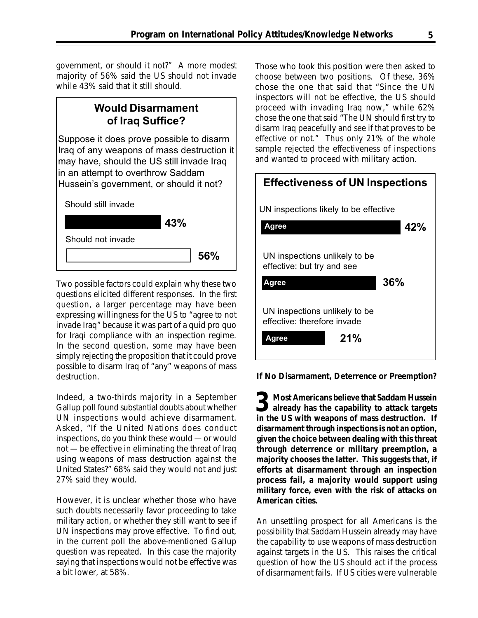government, or should it not?" A more modest majority of 56% said the US should not invade while 43% said that it still should.

#### Would Disarmament of Iraq Suffice?

Suppose it does prove possible to disarm Iraq of any weapons of mass destruction it may have, should the US still invade Iraq in an attempt to overthrow Saddam Hussein's government, or should it not?



Two possible factors could explain why these two questions elicited different responses. In the first question, a larger percentage may have been expressing willingness for the US to "agree to not invade Iraq" because it was part of a quid pro quo for Iraqi compliance with an inspection regime. In the second question, some may have been simply rejecting the proposition that it could prove possible to disarm Iraq of "any" weapons of mass destruction.

Indeed, a two-thirds majority in a September Gallup poll found substantial doubts about whether UN inspections would achieve disarmament. Asked, "If the United Nations does conduct inspections, do you think these would — or would not — be effective in eliminating the threat of Iraq using weapons of mass destruction against the United States?" 68% said they would not and just 27% said they would.

However, it is unclear whether those who have such doubts necessarily favor proceeding to take military action, or whether they still want to see if UN inspections may prove effective. To find out, in the current poll the above-mentioned Gallup question was repeated. In this case the majority saying that inspections would not be effective was a bit lower, at 58%.

Those who took this position were then asked to choose between two positions. Of these, 36% chose the one that said that "Since the UN inspectors will not be effective, the US should proceed with invading Iraq now," while 62% chose the one that said "The UN should first try to disarm Iraq peacefully and see if that proves to be effective or not." Thus only 21% of the whole sample rejected the effectiveness of inspections and wanted to proceed with military action.



*If No Disarmament, Deterrence or Preemption?*

**1** Most Americans believe that Saddam Hussein **3** Most Americans believe that Saddam Hussein<br>already has the capability to attack targets<br>in the US with weapons of mass destruction. **in the US with weapons of mass destruction. If disarmament through inspections is not an option, given the choice between dealing with this threat through deterrence or military preemption, a majority chooses the latter. This suggests that, if efforts at disarmament through an inspection process fail, a majority would support using military force, even with the risk of attacks on American cities.**

An unsettling prospect for all Americans is the possibility that Saddam Hussein already may have the capability to use weapons of mass destruction against targets in the US. This raises the critical question of how the US should act if the process of disarmament fails. If US cities were vulnerable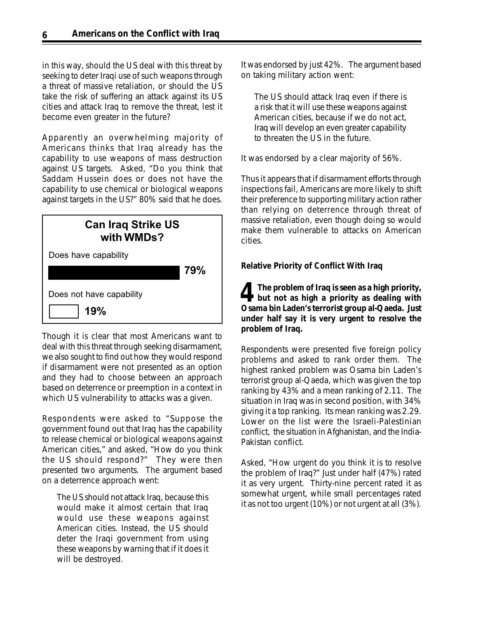in this way, should the US deal with this threat by seeking to deter Iraqi use of such weapons through a threat of massive retaliation, or should the US take the risk of suffering an attack against its US cities and attack Iraq to remove the threat, lest it become even greater in the future?

Apparently an overwhelming majority of Americans thinks that Iraq already has the capability to use weapons of mass destruction against US targets. Asked, "Do you think that Saddam Hussein does or does not have the capability to use chemical or biological weapons against targets in the US?" 80% said that he does.

| <b>Can Iraq Strike US</b><br>with WMDs? |     |
|-----------------------------------------|-----|
| Does have capability                    | 79% |
| Does not have capability<br>19%         |     |

Though it is clear that most Americans want to deal with this threat through seeking disarmament, we also sought to find out how they would respond if disarmament were not presented as an option and they had to choose between an approach based on deterrence or preemption in a context in which US vulnerability to attacks was a given.

Respondents were asked to "Suppose the government found out that Iraq has the capability to release chemical or biological weapons against American cities," and asked, "How do you think the US should respond?" They were then presented two arguments. The argument based on a deterrence approach went:

The US should not attack Iraq, because this would make it almost certain that Iraq would use these weapons against American cities. Instead, the US should deter the Iraqi government from using these weapons by warning that if it does it will be destroyed.

It was endorsed by just 42%. The argument based on taking military action went:

The US should attack Iraq even if there is a risk that it will use these weapons against American cities, because if we do not act, Iraq will develop an even greater capability to threaten the US in the future.

It was endorsed by a clear majority of 56%.

Thus it appears that if disarmament efforts through inspections fail, Americans are more likely to shift their preference to supporting military action rather than relying on deterrence through threat of massive retaliation, even though doing so would make them vulnerable to attacks on American cities.

#### *Relative Priority of Conflict With Iraq*

**The problem of Iraq is seen as a high priority,** The problem of Iraq is seen as a high priority,<br>but not as high a priority as dealing with **Osama bin Laden's terrorist group al-Qaeda. Just under half say it is very urgent to resolve the problem of Iraq.**

Respondents were presented five foreign policy problems and asked to rank order them. The highest ranked problem was Osama bin Laden's terrorist group al-Qaeda, which was given the top ranking by 43% and a mean ranking of 2.11. The situation in Iraq was in second position, with 34% giving it a top ranking. Its mean ranking was 2.29. Lower on the list were the Israeli-Palestinian conflict, the situation in Afghanistan, and the India-Pakistan conflict.

Asked, "How urgent do you think it is to resolve the problem of Iraq?" Just under half (47%) rated it as very urgent. Thirty-nine percent rated it as somewhat urgent, while small percentages rated it as not too urgent (10%) or not urgent at all (3%).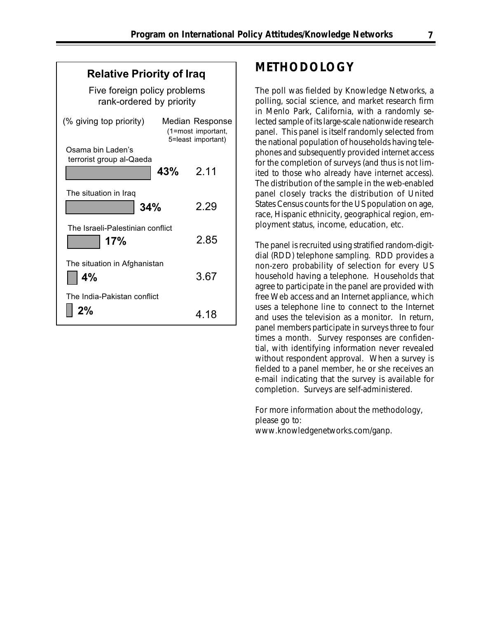| <b>Relative Priority of Iraq</b>                         |                                                                    |
|----------------------------------------------------------|--------------------------------------------------------------------|
| Five foreign policy problems<br>rank-ordered by priority |                                                                    |
| (% giving top priority)                                  | <b>Median Response</b><br>(1=most important,<br>5=least important) |
| Osama bin Laden's<br>terrorist group al-Qaeda            | 2.11<br>43%                                                        |
| The situation in Iraq<br>34%                             | 2.29                                                               |
| The Israeli-Palestinian conflict<br>17%                  | 2.85                                                               |
| The situation in Afghanistan<br>4%                       | 3.67                                                               |
| The India-Pakistan conflict<br>2%                        | 4.18                                                               |

## **METHODOLOGY**

The poll was fielded by Knowledge Networks, a polling, social science, and market research firm in Menlo Park, California, with a randomly selected sample of its large-scale nationwide research panel. This panel is itself randomly selected from the national population of households having telephones and subsequently provided internet access for the completion of surveys (and thus is not limited to those who already have internet access). The distribution of the sample in the web-enabled panel closely tracks the distribution of United States Census counts for the US population on age, race, Hispanic ethnicity, geographical region, employment status, income, education, etc.

The panel is recruited using stratified random-digitdial (RDD) telephone sampling. RDD provides a non-zero probability of selection for every US household having a telephone. Households that agree to participate in the panel are provided with free Web access and an Internet appliance, which uses a telephone line to connect to the Internet and uses the television as a monitor. In return, panel members participate in surveys three to four times a month. Survey responses are confidential, with identifying information never revealed without respondent approval. When a survey is fielded to a panel member, he or she receives an e-mail indicating that the survey is available for completion. Surveys are self-administered.

For more information about the methodology, please go to: www.knowledgenetworks.com/ganp.